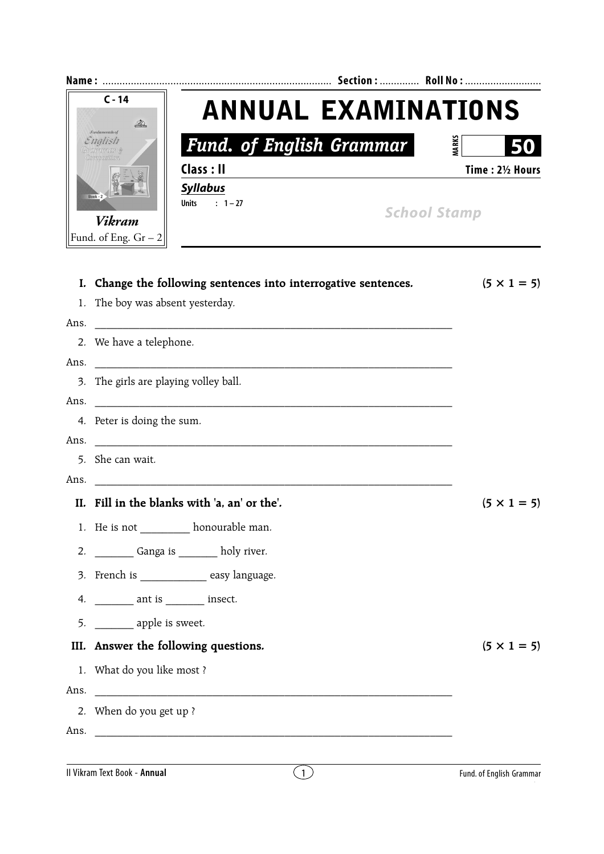| $C - 14$<br><b><i>fundamentals</i></b> of<br>English<br>mposition |                                         | <b>ANNUAL EXAMINATIONS</b>                                      |                          |  |
|-------------------------------------------------------------------|-----------------------------------------|-----------------------------------------------------------------|--------------------------|--|
|                                                                   |                                         | <b>Fund. of English Grammar</b>                                 | <b>MARKS</b>             |  |
|                                                                   |                                         | Class: II                                                       | Time: 21/2 Hours         |  |
|                                                                   | $Book - 2$                              | <b>Syllabus</b>                                                 |                          |  |
|                                                                   |                                         | Units : $1-27$<br><b>School Stamp</b>                           |                          |  |
|                                                                   | <b>Vikram</b><br>Fund. of Eng. $Gr - 2$ |                                                                 |                          |  |
|                                                                   |                                         |                                                                 |                          |  |
|                                                                   |                                         | I. Change the following sentences into interrogative sentences. | $(5 \times 1 = 5)$       |  |
|                                                                   | 1. The boy was absent yesterday.        |                                                                 |                          |  |
| Ans.                                                              |                                         |                                                                 |                          |  |
|                                                                   | 2. We have a telephone.                 |                                                                 |                          |  |
| Ans.                                                              |                                         |                                                                 |                          |  |
|                                                                   | 3. The girls are playing volley ball.   |                                                                 |                          |  |
| Ans.                                                              |                                         |                                                                 |                          |  |
|                                                                   | 4. Peter is doing the sum.              |                                                                 |                          |  |
| Ans.                                                              |                                         |                                                                 |                          |  |
|                                                                   | 5. She can wait.                        |                                                                 |                          |  |
| Ans.                                                              |                                         | <u> 2001 - Jan James James Alexander (</u> † 1872)              |                          |  |
|                                                                   |                                         | II. Fill in the blanks with 'a, an' or the'.                    | $(5 \times 1 = 5)$       |  |
|                                                                   |                                         | 1. He is not ____________ honourable man.                       |                          |  |
|                                                                   |                                         | 2. _________ Ganga is ________ holy river.                      |                          |  |
|                                                                   |                                         | 3. French is _______________ easy language.                     |                          |  |
|                                                                   |                                         |                                                                 |                          |  |
|                                                                   | 5. ________ apple is sweet.             |                                                                 |                          |  |
|                                                                   |                                         |                                                                 | $(5 \times 1 = 5)$       |  |
|                                                                   | III. Answer the following questions.    |                                                                 |                          |  |
|                                                                   | 1. What do you like most ?              |                                                                 |                          |  |
| Ans.                                                              | 2. When do you get up?                  |                                                                 |                          |  |
| Ans.                                                              |                                         |                                                                 |                          |  |
|                                                                   |                                         |                                                                 |                          |  |
|                                                                   | Il Vikram Text Book - Annual            | (1)                                                             | Fund. of English Grammar |  |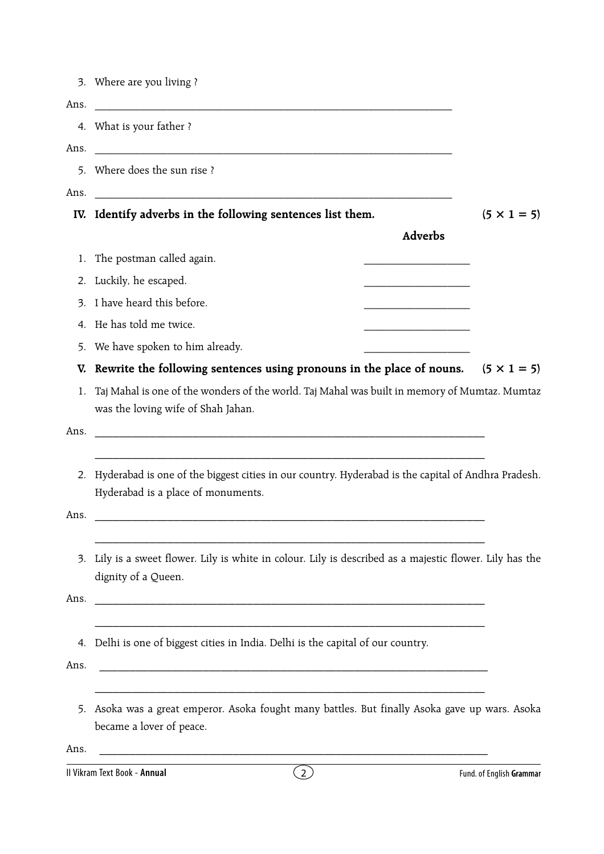|      | 3. Where are you living?                                                                                                                    |                    |  |  |  |  |
|------|---------------------------------------------------------------------------------------------------------------------------------------------|--------------------|--|--|--|--|
| Ans. | 4. What is your father?                                                                                                                     |                    |  |  |  |  |
| Ans. | 5. Where does the sun rise?                                                                                                                 |                    |  |  |  |  |
| Ans. | IV. Identify adverbs in the following sentences list them.                                                                                  | $(5 \times 1 = 5)$ |  |  |  |  |
|      | Adverbs                                                                                                                                     |                    |  |  |  |  |
| 1.   | The postman called again.<br>the control of the control of the control of the control of the control of                                     |                    |  |  |  |  |
| 2.   | Luckily, he escaped.                                                                                                                        |                    |  |  |  |  |
|      | 3. I have heard this before.                                                                                                                |                    |  |  |  |  |
| 4.   | He has told me twice.                                                                                                                       |                    |  |  |  |  |
| 5.   | We have spoken to him already.                                                                                                              |                    |  |  |  |  |
| V.   | Rewrite the following sentences using pronouns in the place of nouns. $(5 \times 1 = 5)$                                                    |                    |  |  |  |  |
| 1.   | Taj Mahal is one of the wonders of the world. Taj Mahal was built in memory of Mumtaz. Mumtaz<br>was the loving wife of Shah Jahan.         |                    |  |  |  |  |
| Ans. |                                                                                                                                             |                    |  |  |  |  |
|      | 2. Hyderabad is one of the biggest cities in our country. Hyderabad is the capital of Andhra Pradesh.<br>Hyderabad is a place of monuments. |                    |  |  |  |  |
| Ans. |                                                                                                                                             |                    |  |  |  |  |
| 3.   | Lily is a sweet flower. Lily is white in colour. Lily is described as a majestic flower. Lily has the<br>dignity of a Queen.                |                    |  |  |  |  |
| Ans. |                                                                                                                                             |                    |  |  |  |  |
| Ans. | 4. Delhi is one of biggest cities in India. Delhi is the capital of our country.                                                            |                    |  |  |  |  |
|      |                                                                                                                                             |                    |  |  |  |  |
|      | 5. Asoka was a great emperor. Asoka fought many battles. But finally Asoka gave up wars. Asoka<br>became a lover of peace.                  |                    |  |  |  |  |
| Ans. |                                                                                                                                             |                    |  |  |  |  |

| II Vikram Text Book<br>- Annual | .<br>Fund.<br>l. of English <b>Gramma</b> ı |
|---------------------------------|---------------------------------------------|
|                                 |                                             |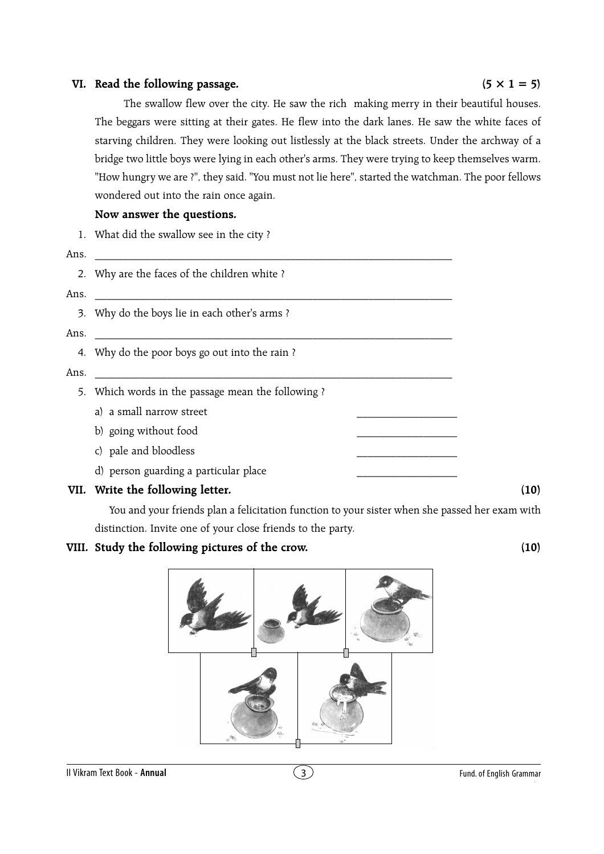## **VI.** Read the following passage.  $(5 \times 1 = 5)$

The swallow flew over the city. He saw the rich making merry in their beautiful houses. The beggars were sitting at their gates. He flew into the dark lanes. He saw the white faces of starving children. They were looking out listlessly at the black streets. Under the archway of a bridge two little boys were lying in each other's arms. They were trying to keep themselves warm. "How hungry we are ?", they said. "You must not lie here", started the watchman. The poor fellows wondered out into the rain once again.

## **Now answer the questions.**

1. What did the swallow see in the city ? Ans. \_\_\_\_\_\_\_\_\_\_\_\_\_\_\_\_\_\_\_\_\_\_\_\_\_\_\_\_\_\_\_\_\_\_\_\_\_\_\_\_\_\_\_\_\_\_\_\_\_\_\_\_\_\_\_\_\_\_\_\_\_\_\_\_ 2. Why are the faces of the children white ?  $Ans.$ 3. Why do the boys lie in each other's arms ? Ans. \_\_\_\_\_\_\_\_\_\_\_\_\_\_\_\_\_\_\_\_\_\_\_\_\_\_\_\_\_\_\_\_\_\_\_\_\_\_\_\_\_\_\_\_\_\_\_\_\_\_\_\_\_\_\_\_\_\_\_\_\_\_\_\_ 4. Why do the poor boys go out into the rain ?  $Ans.$ 5. Which words in the passage mean the following ? a) a small narrow street b) going without food c) pale and bloodless d) person guarding a particular place **VII. Write the following letter. (10)**

You and your friends plan a felicitation function to your sister when she passed her exam with distinction. Invite one of your close friends to the party.

## **VIII. Study the following pictures of the crow. (10)**